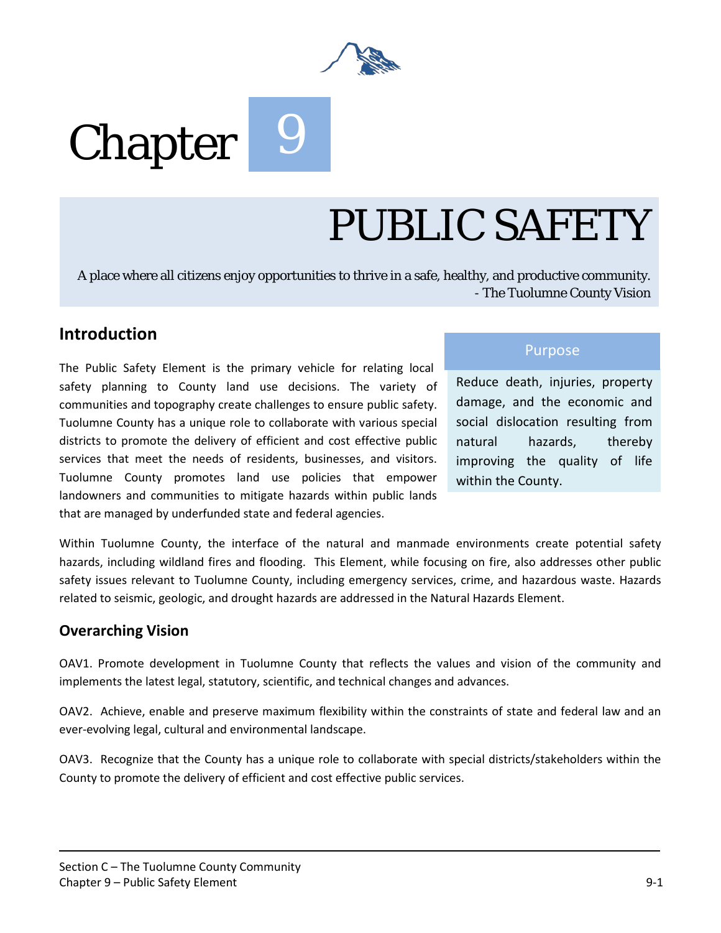

# Chapter<sup>9</sup>

## PUBLIC SAFETY

A place where all citizens enjoy opportunities to thrive in a safe, healthy, and productive community. - The Tuolumne County Vision

## **Introduction**

The Public Safety Element is the primary vehicle for relating local safety planning to County land use decisions. The variety of communities and topography create challenges to ensure public safety. Tuolumne County has a unique role to collaborate with various special districts to promote the delivery of efficient and cost effective public services that meet the needs of residents, businesses, and visitors. Tuolumne County promotes land use policies that empower landowners and communities to mitigate hazards within public lands that are managed by underfunded state and federal agencies.

## Purpose

Reduce death, injuries, property damage, and the economic and social dislocation resulting from natural hazards, thereby improving the quality of life within the County.

Within Tuolumne County, the interface of the natural and manmade environments create potential safety hazards, including wildland fires and flooding. This Element, while focusing on fire, also addresses other public safety issues relevant to Tuolumne County, including emergency services, crime, and hazardous waste. Hazards related to seismic, geologic, and drought hazards are addressed in the Natural Hazards Element.

## **Overarching Vision**

OAV1. Promote development in Tuolumne County that reflects the values and vision of the community and implements the latest legal, statutory, scientific, and technical changes and advances.

OAV2. Achieve, enable and preserve maximum flexibility within the constraints of state and federal law and an ever-evolving legal, cultural and environmental landscape.

OAV3. Recognize that the County has a unique role to collaborate with special districts/stakeholders within the County to promote the delivery of efficient and cost effective public services.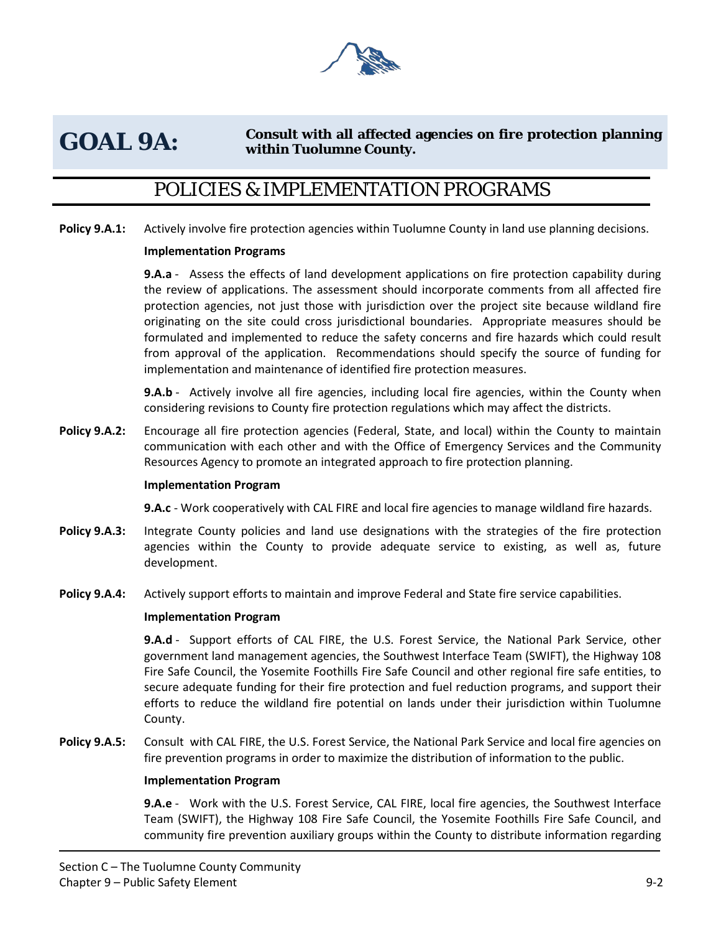

## GOAL 9A: Consult with all affected agencies on fire protection planning **within Tuolumne County.**

## POLICIES & IMPLEMENTATION PROGRAMS

**Policy 9.A.1:** Actively involve fire protection agencies within Tuolumne County in land use planning decisions.

#### **Implementation Programs**

**9.A.a** - Assess the effects of land development applications on fire protection capability during the review of applications. The assessment should incorporate comments from all affected fire protection agencies, not just those with jurisdiction over the project site because wildland fire originating on the site could cross jurisdictional boundaries. Appropriate measures should be formulated and implemented to reduce the safety concerns and fire hazards which could result from approval of the application. Recommendations should specify the source of funding for implementation and maintenance of identified fire protection measures.

**9.A.b** - Actively involve all fire agencies, including local fire agencies, within the County when considering revisions to County fire protection regulations which may affect the districts.

**Policy 9.A.2:** Encourage all fire protection agencies (Federal, State, and local) within the County to maintain communication with each other and with the Office of Emergency Services and the Community Resources Agency to promote an integrated approach to fire protection planning.

#### **Implementation Program**

**9.A.c** - Work cooperatively with CAL FIRE and local fire agencies to manage wildland fire hazards.

- **Policy 9.A.3:** Integrate County policies and land use designations with the strategies of the fire protection agencies within the County to provide adequate service to existing, as well as, future development.
- **Policy 9.A.4:** Actively support efforts to maintain and improve Federal and State fire service capabilities.

#### **Implementation Program**

**9.A.d** - Support efforts of CAL FIRE, the U.S. Forest Service, the National Park Service, other government land management agencies, the Southwest Interface Team (SWIFT), the Highway 108 Fire Safe Council, the Yosemite Foothills Fire Safe Council and other regional fire safe entities, to secure adequate funding for their fire protection and fuel reduction programs, and support their efforts to reduce the wildland fire potential on lands under their jurisdiction within Tuolumne County.

**Policy 9.A.5:** Consult with CAL FIRE, the U.S. Forest Service, the National Park Service and local fire agencies on fire prevention programs in order to maximize the distribution of information to the public.

#### **Implementation Program**

**9.A.e** - Work with the U.S. Forest Service, CAL FIRE, local fire agencies, the Southwest Interface Team (SWIFT), the Highway 108 Fire Safe Council, the Yosemite Foothills Fire Safe Council, and community fire prevention auxiliary groups within the County to distribute information regarding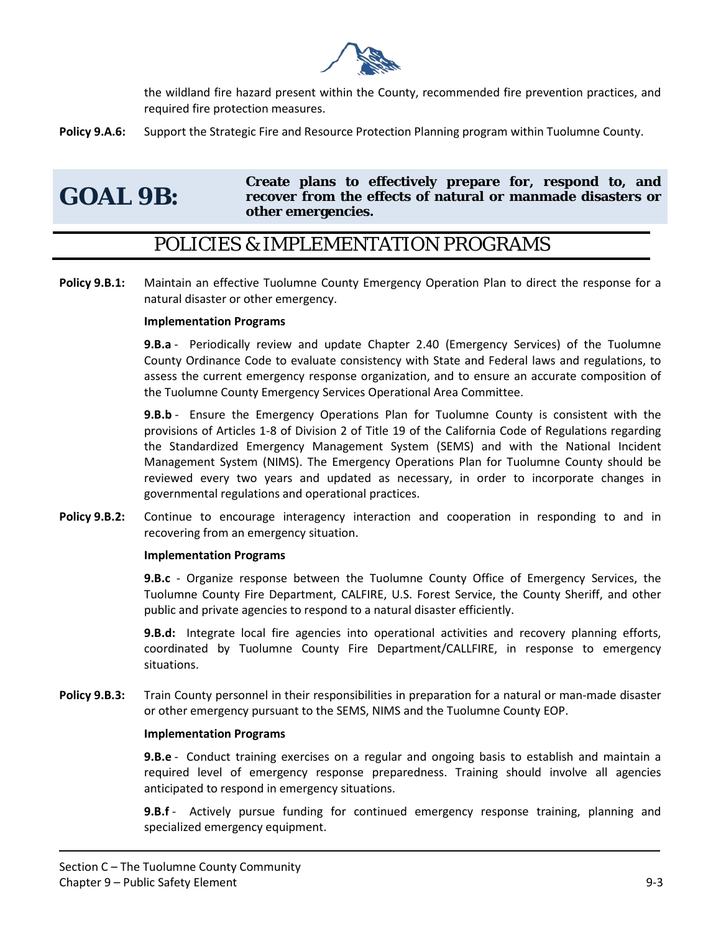

the wildland fire hazard present within the County, recommended fire prevention practices, and required fire protection measures.

**Policy 9.A.6:** Support the Strategic Fire and Resource Protection Planning program within Tuolumne County.

## **GOAL 9B:**

**Create plans to effectively prepare for, respond to, and recover from the effects of natural or manmade disasters or other emergencies.** 

## POLICIES & IMPLEMENTATION PROGRAMS

**Policy 9.B.1:** Maintain an effective Tuolumne County Emergency Operation Plan to direct the response for a natural disaster or other emergency.

## **Implementation Programs**

**9.B.a** - Periodically review and update Chapter 2.40 (Emergency Services) of the Tuolumne County Ordinance Code to evaluate consistency with State and Federal laws and regulations, to assess the current emergency response organization, and to ensure an accurate composition of the Tuolumne County Emergency Services Operational Area Committee.

**9.B.b** - Ensure the Emergency Operations Plan for Tuolumne County is consistent with the provisions of Articles 1-8 of Division 2 of Title 19 of the California Code of Regulations regarding the Standardized Emergency Management System (SEMS) and with the National Incident Management System (NIMS). The Emergency Operations Plan for Tuolumne County should be reviewed every two years and updated as necessary, in order to incorporate changes in governmental regulations and operational practices.

**Policy 9.B.2:** Continue to encourage interagency interaction and cooperation in responding to and in recovering from an emergency situation.

#### **Implementation Programs**

**9.B.c** - Organize response between the Tuolumne County Office of Emergency Services, the Tuolumne County Fire Department, CALFIRE, U.S. Forest Service, the County Sheriff, and other public and private agencies to respond to a natural disaster efficiently.

**9.B.d:** Integrate local fire agencies into operational activities and recovery planning efforts, coordinated by Tuolumne County Fire Department/CALLFIRE, in response to emergency situations.

**Policy 9.B.3:** Train County personnel in their responsibilities in preparation for a natural or man-made disaster or other emergency pursuant to the SEMS, NIMS and the Tuolumne County EOP.

#### **Implementation Programs**

**9.B.e** - Conduct training exercises on a regular and ongoing basis to establish and maintain a required level of emergency response preparedness. Training should involve all agencies anticipated to respond in emergency situations.

**9.B.f** - Actively pursue funding for continued emergency response training, planning and specialized emergency equipment.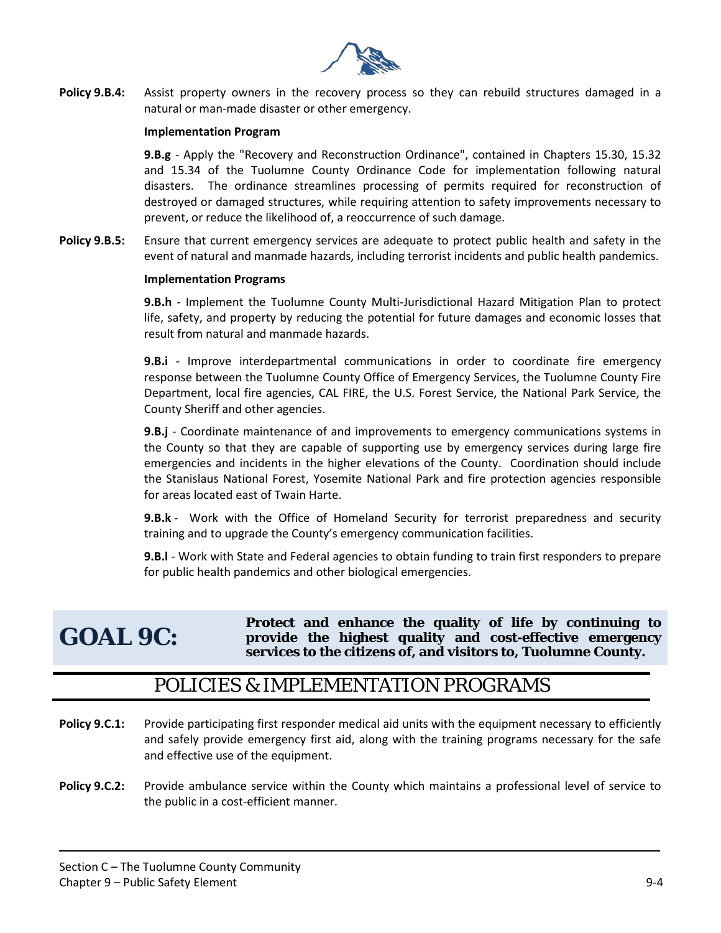

**Policy 9.B.4:** Assist property owners in the recovery process so they can rebuild structures damaged in a natural or man-made disaster or other emergency.

#### **Implementation Program**

**9.B.g** - Apply the "Recovery and Reconstruction Ordinance", contained in Chapters 15.30, 15.32 and 15.34 of the Tuolumne County Ordinance Code for implementation following natural disasters. The ordinance streamlines processing of permits required for reconstruction of destroyed or damaged structures, while requiring attention to safety improvements necessary to prevent, or reduce the likelihood of, a reoccurrence of such damage.

**Policy 9.B.5:** Ensure that current emergency services are adequate to protect public health and safety in the event of natural and manmade hazards, including terrorist incidents and public health pandemics.

#### **Implementation Programs**

**9.B.h** - Implement the Tuolumne County Multi-Jurisdictional Hazard Mitigation Plan to protect life, safety, and property by reducing the potential for future damages and economic losses that result from natural and manmade hazards.

**9.B.i** - Improve interdepartmental communications in order to coordinate fire emergency response between the Tuolumne County Office of Emergency Services, the Tuolumne County Fire Department, local fire agencies, CAL FIRE, the U.S. Forest Service, the National Park Service, the County Sheriff and other agencies.

**9.B.j** - Coordinate maintenance of and improvements to emergency communications systems in the County so that they are capable of supporting use by emergency services during large fire emergencies and incidents in the higher elevations of the County. Coordination should include the Stanislaus National Forest, Yosemite National Park and fire protection agencies responsible for areas located east of Twain Harte.

**9.B.k** - Work with the Office of Homeland Security for terrorist preparedness and security training and to upgrade the County's emergency communication facilities.

**9.B.l** - Work with State and Federal agencies to obtain funding to train first responders to prepare for public health pandemics and other biological emergencies.

## **GOAL 9C:**

**Protect and enhance the quality of life by continuing to provide the highest quality and cost-effective emergency services to the citizens of, and visitors to, Tuolumne County.** 

## POLICIES & IMPLEMENTATION PROGRAMS

- **Policy 9.C.1:** Provide participating first responder medical aid units with the equipment necessary to efficiently and safely provide emergency first aid, along with the training programs necessary for the safe and effective use of the equipment.
- **Policy 9.C.2:** Provide ambulance service within the County which maintains a professional level of service to the public in a cost-efficient manner.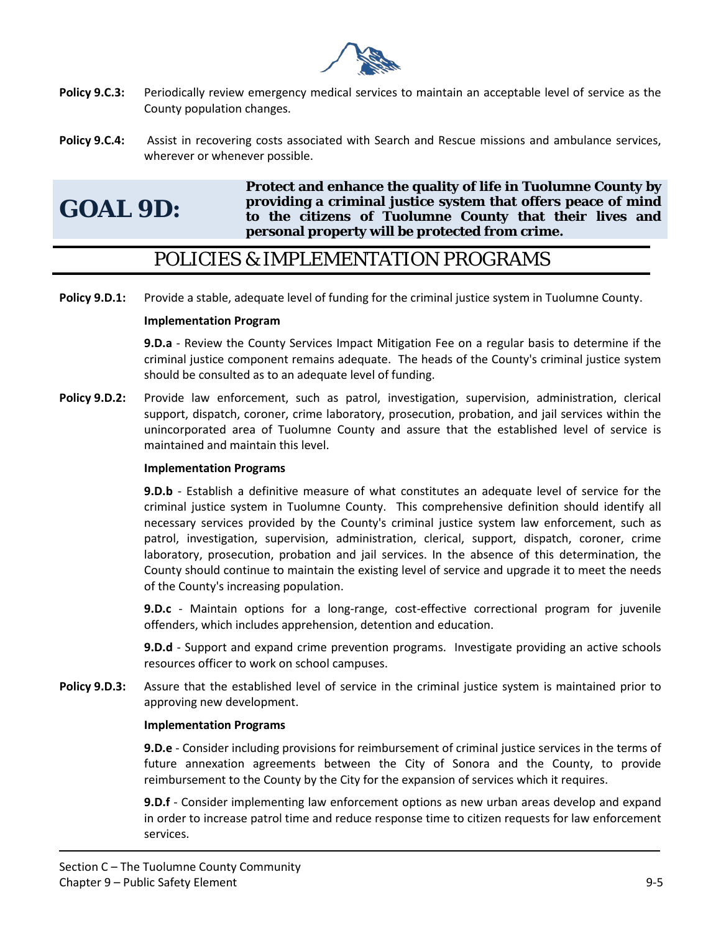

- **Policy 9.C.3:** Periodically review emergency medical services to maintain an acceptable level of service as the County population changes.
- **Policy 9.C.4:** Assist in recovering costs associated with Search and Rescue missions and ambulance services, wherever or whenever possible.

**GOAL 9D:**

**Protect and enhance the quality of life in Tuolumne County by providing a criminal justice system that offers peace of mind to the citizens of Tuolumne County that their lives and personal property will be protected from crime.** 

## POLICIES & IMPLEMENTATION PROGRAMS

**Policy 9.D.1:** Provide a stable, adequate level of funding for the criminal justice system in Tuolumne County.

## **Implementation Program**

**9.D.a** - Review the County Services Impact Mitigation Fee on a regular basis to determine if the criminal justice component remains adequate. The heads of the County's criminal justice system should be consulted as to an adequate level of funding.

**Policy 9.D.2:** Provide law enforcement, such as patrol, investigation, supervision, administration, clerical support, dispatch, coroner, crime laboratory, prosecution, probation, and jail services within the unincorporated area of Tuolumne County and assure that the established level of service is maintained and maintain this level.

## **Implementation Programs**

**9.D.b** - Establish a definitive measure of what constitutes an adequate level of service for the criminal justice system in Tuolumne County. This comprehensive definition should identify all necessary services provided by the County's criminal justice system law enforcement, such as patrol, investigation, supervision, administration, clerical, support, dispatch, coroner, crime laboratory, prosecution, probation and jail services. In the absence of this determination, the County should continue to maintain the existing level of service and upgrade it to meet the needs of the County's increasing population.

**9.D.c** - Maintain options for a long-range, cost-effective correctional program for juvenile offenders, which includes apprehension, detention and education.

**9.D.d** - Support and expand crime prevention programs. Investigate providing an active schools resources officer to work on school campuses.

**Policy 9.D.3:** Assure that the established level of service in the criminal justice system is maintained prior to approving new development.

## **Implementation Programs**

**9.D.e** - Consider including provisions for reimbursement of criminal justice services in the terms of future annexation agreements between the City of Sonora and the County, to provide reimbursement to the County by the City for the expansion of services which it requires.

**9.D.f** - Consider implementing law enforcement options as new urban areas develop and expand in order to increase patrol time and reduce response time to citizen requests for law enforcement services.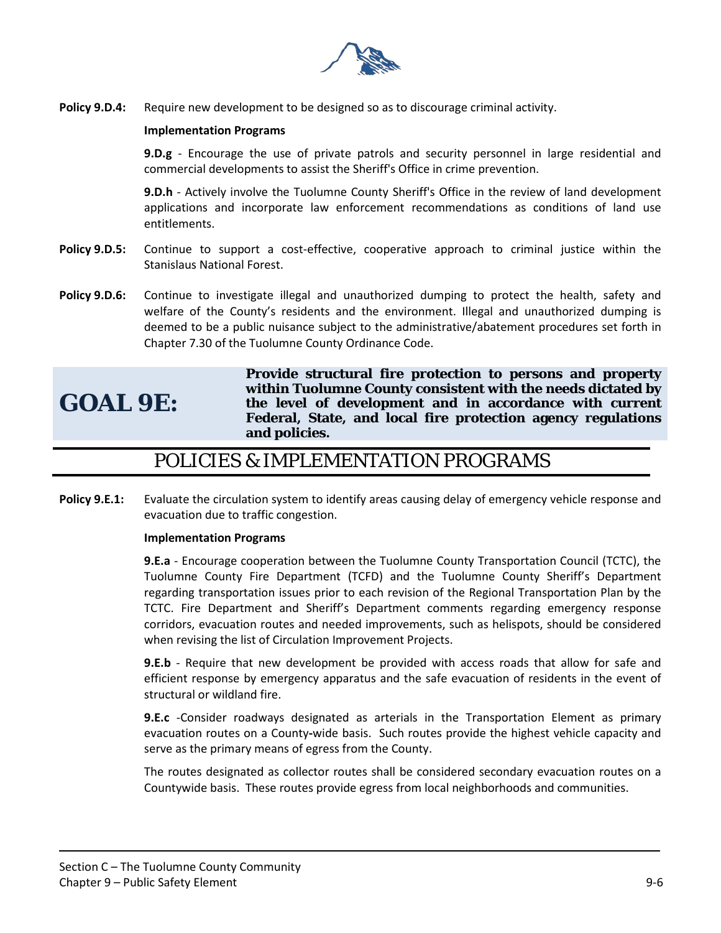

**Policy 9.D.4:** Require new development to be designed so as to discourage criminal activity.

## **Implementation Programs**

**9.D.g** - Encourage the use of private patrols and security personnel in large residential and commercial developments to assist the Sheriff's Office in crime prevention.

**9.D.h** - Actively involve the Tuolumne County Sheriff's Office in the review of land development applications and incorporate law enforcement recommendations as conditions of land use entitlements.

- **Policy 9.D.5:** Continue to support a cost-effective, cooperative approach to criminal justice within the Stanislaus National Forest.
- **Policy 9.D.6:** Continue to investigate illegal and unauthorized dumping to protect the health, safety and welfare of the County's residents and the environment. Illegal and unauthorized dumping is deemed to be a public nuisance subject to the administrative/abatement procedures set forth in Chapter 7.30 of the Tuolumne County Ordinance Code.

## **GOAL 9E:**

**Provide structural fire protection to persons and property within Tuolumne County consistent with the needs dictated by the level of development and in accordance with current Federal, State, and local fire protection agency regulations and policies.** 

## POLICIES & IMPLEMENTATION PROGRAMS

**Policy 9.E.1:** Evaluate the circulation system to identify areas causing delay of emergency vehicle response and evacuation due to traffic congestion.

## **Implementation Programs**

**9.E.a** - Encourage cooperation between the Tuolumne County Transportation Council (TCTC), the Tuolumne County Fire Department (TCFD) and the Tuolumne County Sheriff's Department regarding transportation issues prior to each revision of the Regional Transportation Plan by the TCTC. Fire Department and Sheriff's Department comments regarding emergency response corridors, evacuation routes and needed improvements, such as helispots, should be considered when revising the list of Circulation Improvement Projects.

**9.E.b** - Require that new development be provided with access roads that allow for safe and efficient response by emergency apparatus and the safe evacuation of residents in the event of structural or wildland fire.

**9.E.c** -Consider roadways designated as arterials in the Transportation Element as primary evacuation routes on a County**-**wide basis. Such routes provide the highest vehicle capacity and serve as the primary means of egress from the County.

The routes designated as collector routes shall be considered secondary evacuation routes on a Countywide basis. These routes provide egress from local neighborhoods and communities.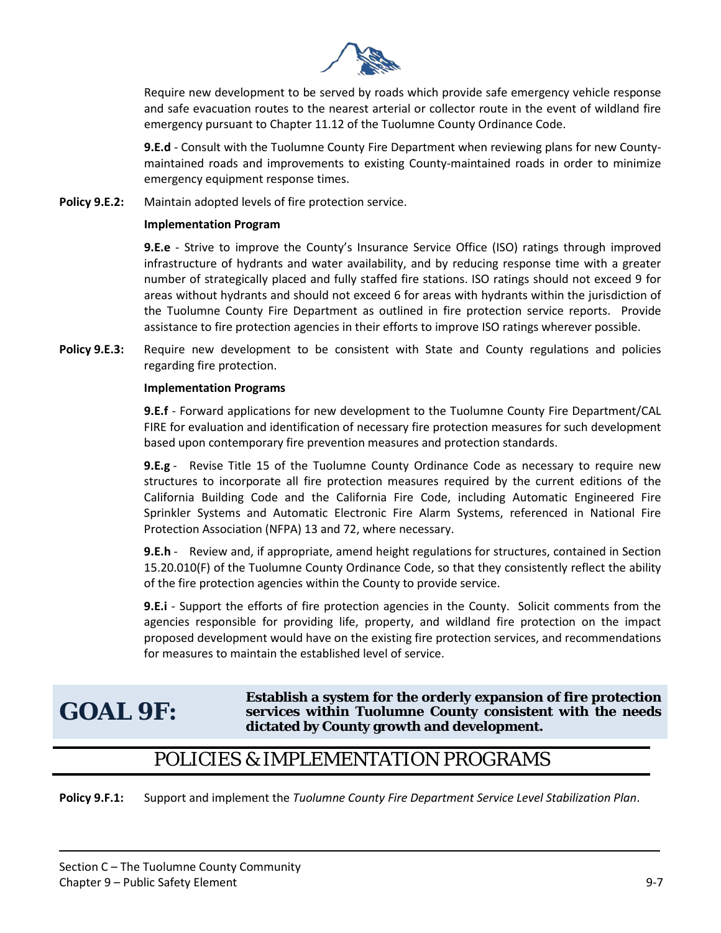

Require new development to be served by roads which provide safe emergency vehicle response and safe evacuation routes to the nearest arterial or collector route in the event of wildland fire emergency pursuant to Chapter 11.12 of the Tuolumne County Ordinance Code.

**9.E.d** - Consult with the Tuolumne County Fire Department when reviewing plans for new Countymaintained roads and improvements to existing County-maintained roads in order to minimize emergency equipment response times.

**Policy 9.E.2:** Maintain adopted levels of fire protection service.

## **Implementation Program**

**9.E.e** - Strive to improve the County's Insurance Service Office (ISO) ratings through improved infrastructure of hydrants and water availability, and by reducing response time with a greater number of strategically placed and fully staffed fire stations. ISO ratings should not exceed 9 for areas without hydrants and should not exceed 6 for areas with hydrants within the jurisdiction of the Tuolumne County Fire Department as outlined in fire protection service reports. Provide assistance to fire protection agencies in their efforts to improve ISO ratings wherever possible.

**Policy 9.E.3:** Require new development to be consistent with State and County regulations and policies regarding fire protection.

## **Implementation Programs**

**9.E.f** - Forward applications for new development to the Tuolumne County Fire Department/CAL FIRE for evaluation and identification of necessary fire protection measures for such development based upon contemporary fire prevention measures and protection standards.

**9.E.g** - Revise Title 15 of the Tuolumne County Ordinance Code as necessary to require new structures to incorporate all fire protection measures required by the current editions of the California Building Code and the California Fire Code, including Automatic Engineered Fire Sprinkler Systems and Automatic Electronic Fire Alarm Systems, referenced in National Fire Protection Association (NFPA) 13 and 72, where necessary.

**9.E.h** - Review and, if appropriate, amend height regulations for structures, contained in Section 15.20.010(F) of the Tuolumne County Ordinance Code, so that they consistently reflect the ability of the fire protection agencies within the County to provide service.

**9.E.i** - Support the efforts of fire protection agencies in the County. Solicit comments from the agencies responsible for providing life, property, and wildland fire protection on the impact proposed development would have on the existing fire protection services, and recommendations for measures to maintain the established level of service.

## **GOAL 9F:**

**Establish a system for the orderly expansion of fire protection services within Tuolumne County consistent with the needs dictated by County growth and development.** 

## POLICIES & IMPLEMENTATION PROGRAMS

**Policy 9.F.1:** Support and implement the *Tuolumne County Fire Department Service Level Stabilization Plan*.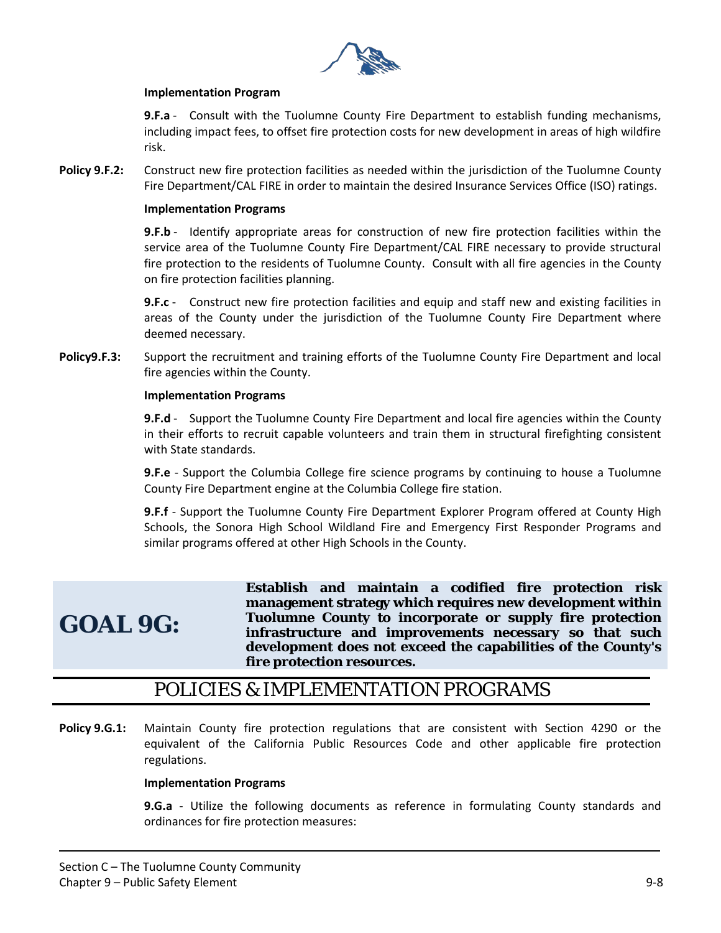

## **Implementation Program**

**9.F.a** - Consult with the Tuolumne County Fire Department to establish funding mechanisms, including impact fees, to offset fire protection costs for new development in areas of high wildfire risk.

**Policy 9.F.2:** Construct new fire protection facilities as needed within the jurisdiction of the Tuolumne County Fire Department/CAL FIRE in order to maintain the desired Insurance Services Office (ISO) ratings.

#### **Implementation Programs**

**9.F.b** - Identify appropriate areas for construction of new fire protection facilities within the service area of the Tuolumne County Fire Department/CAL FIRE necessary to provide structural fire protection to the residents of Tuolumne County. Consult with all fire agencies in the County on fire protection facilities planning.

**9.F.c** - Construct new fire protection facilities and equip and staff new and existing facilities in areas of the County under the jurisdiction of the Tuolumne County Fire Department where deemed necessary.

**Policy9.F.3:** Support the recruitment and training efforts of the Tuolumne County Fire Department and local fire agencies within the County.

## **Implementation Programs**

**9.F.d** - Support the Tuolumne County Fire Department and local fire agencies within the County in their efforts to recruit capable volunteers and train them in structural firefighting consistent with State standards.

**9.F.e** - Support the Columbia College fire science programs by continuing to house a Tuolumne County Fire Department engine at the Columbia College fire station.

**9.F.f** - Support the Tuolumne County Fire Department Explorer Program offered at County High Schools, the Sonora High School Wildland Fire and Emergency First Responder Programs and similar programs offered at other High Schools in the County.

## **GOAL 9G:**

**Establish and maintain a codified fire protection risk management strategy which requires new development within Tuolumne County to incorporate or supply fire protection infrastructure and improvements necessary so that such development does not exceed the capabilities of the County's fire protection resources.** 

## POLICIES & IMPLEMENTATION PROGRAMS

**Policy 9.G.1:** Maintain County fire protection regulations that are consistent with Section 4290 or the equivalent of the California Public Resources Code and other applicable fire protection regulations.

#### **Implementation Programs**

**9.G.a** - Utilize the following documents as reference in formulating County standards and ordinances for fire protection measures: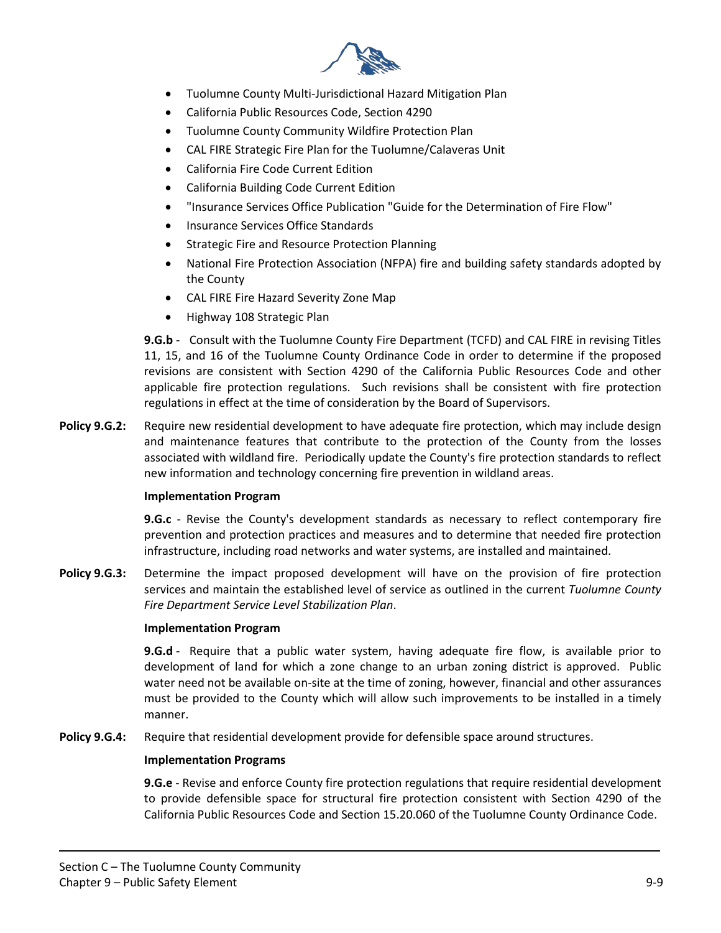

- Tuolumne County Multi-Jurisdictional Hazard Mitigation Plan
- California Public Resources Code, Section 4290
- Tuolumne County Community Wildfire Protection Plan
- CAL FIRE Strategic Fire Plan for the Tuolumne/Calaveras Unit
- California Fire Code Current Edition
- California Building Code Current Edition
- "Insurance Services Office Publication "Guide for the Determination of Fire Flow"
- Insurance Services Office Standards
- Strategic Fire and Resource Protection Planning
- National Fire Protection Association (NFPA) fire and building safety standards adopted by the County
- CAL FIRE Fire Hazard Severity Zone Map
- Highway 108 Strategic Plan

**9.G.b** - Consult with the Tuolumne County Fire Department (TCFD) and CAL FIRE in revising Titles 11, 15, and 16 of the Tuolumne County Ordinance Code in order to determine if the proposed revisions are consistent with Section 4290 of the California Public Resources Code and other applicable fire protection regulations. Such revisions shall be consistent with fire protection regulations in effect at the time of consideration by the Board of Supervisors.

**Policy 9.G.2:** Require new residential development to have adequate fire protection, which may include design and maintenance features that contribute to the protection of the County from the losses associated with wildland fire. Periodically update the County's fire protection standards to reflect new information and technology concerning fire prevention in wildland areas.

## **Implementation Program**

**9.G.c** - Revise the County's development standards as necessary to reflect contemporary fire prevention and protection practices and measures and to determine that needed fire protection infrastructure, including road networks and water systems, are installed and maintained.

**Policy 9.G.3:** Determine the impact proposed development will have on the provision of fire protection services and maintain the established level of service as outlined in the current *Tuolumne County Fire Department Service Level Stabilization Plan*.

#### **Implementation Program**

**9.G.d** - Require that a public water system, having adequate fire flow, is available prior to development of land for which a zone change to an urban zoning district is approved. Public water need not be available on-site at the time of zoning, however, financial and other assurances must be provided to the County which will allow such improvements to be installed in a timely manner.

Policy 9.G.4: Require that residential development provide for defensible space around structures.

#### **Implementation Programs**

**9.G.e** - Revise and enforce County fire protection regulations that require residential development to provide defensible space for structural fire protection consistent with Section 4290 of the California Public Resources Code and Section 15.20.060 of the Tuolumne County Ordinance Code.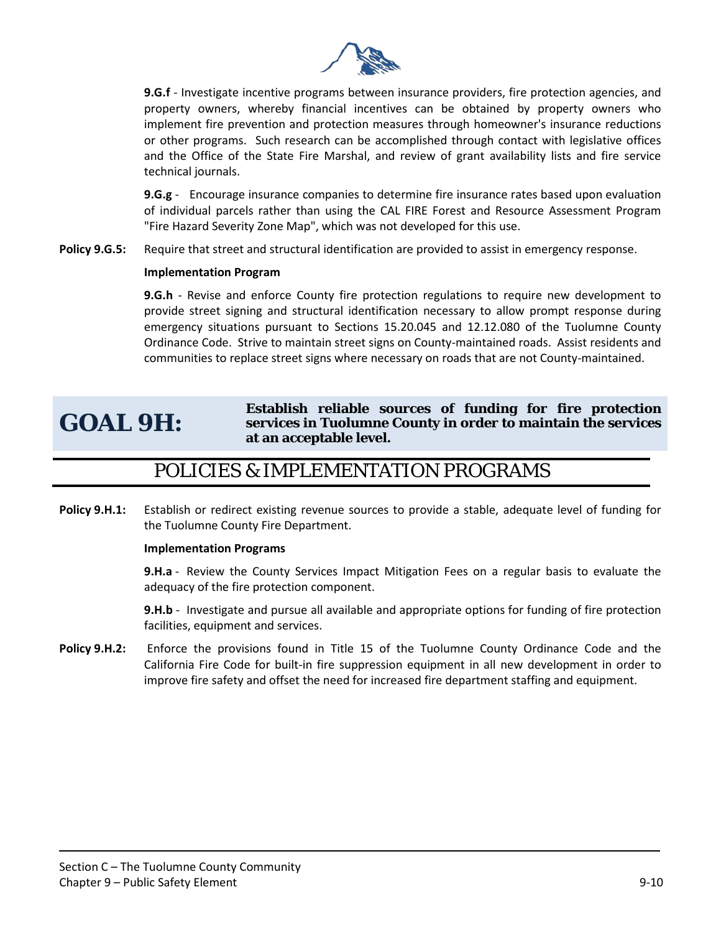

**9.G.f** - Investigate incentive programs between insurance providers, fire protection agencies, and property owners, whereby financial incentives can be obtained by property owners who implement fire prevention and protection measures through homeowner's insurance reductions or other programs. Such research can be accomplished through contact with legislative offices and the Office of the State Fire Marshal, and review of grant availability lists and fire service technical journals.

**9.G.g** - Encourage insurance companies to determine fire insurance rates based upon evaluation of individual parcels rather than using the CAL FIRE Forest and Resource Assessment Program "Fire Hazard Severity Zone Map", which was not developed for this use.

**Policy 9.G.5:** Require that street and structural identification are provided to assist in emergency response.

## **Implementation Program**

**9.G.h** - Revise and enforce County fire protection regulations to require new development to provide street signing and structural identification necessary to allow prompt response during emergency situations pursuant to Sections 15.20.045 and 12.12.080 of the Tuolumne County Ordinance Code. Strive to maintain street signs on County-maintained roads. Assist residents and communities to replace street signs where necessary on roads that are not County-maintained.

## **GOAL 9H:**

**Establish reliable sources of funding for fire protection services in Tuolumne County in order to maintain the services at an acceptable level.** 

## POLICIES & IMPLEMENTATION PROGRAMS

**Policy 9.H.1:** Establish or redirect existing revenue sources to provide a stable, adequate level of funding for the Tuolumne County Fire Department.

#### **Implementation Programs**

**9.H.a** - Review the County Services Impact Mitigation Fees on a regular basis to evaluate the adequacy of the fire protection component.

**9.H.b** - Investigate and pursue all available and appropriate options for funding of fire protection facilities, equipment and services.

**Policy 9.H.2:** Enforce the provisions found in Title 15 of the Tuolumne County Ordinance Code and the California Fire Code for built-in fire suppression equipment in all new development in order to improve fire safety and offset the need for increased fire department staffing and equipment.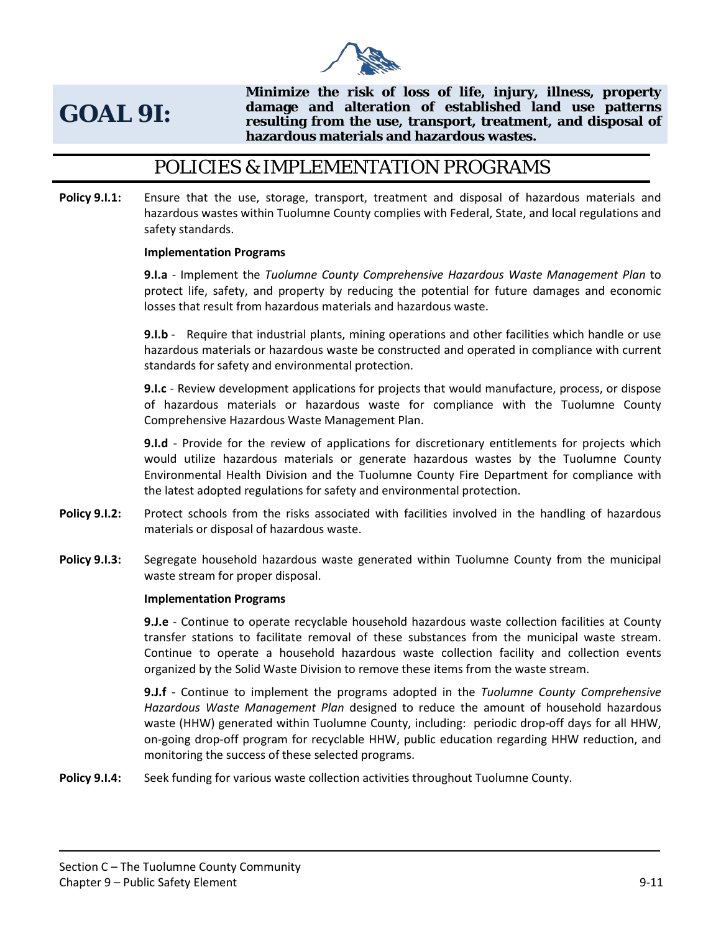

## **GOAL 9I:**

**Minimize the risk of loss of life, injury, illness, property damage and alteration of established land use patterns resulting from the use, transport, treatment, and disposal of hazardous materials and hazardous wastes.** 

## POLICIES & IMPLEMENTATION PROGRAMS

**Policy 9.I.1:** Ensure that the use, storage, transport, treatment and disposal of hazardous materials and hazardous wastes within Tuolumne County complies with Federal, State, and local regulations and safety standards.

## **Implementation Programs**

**9.I.a** - Implement the *Tuolumne County Comprehensive Hazardous Waste Management Plan* to protect life, safety, and property by reducing the potential for future damages and economic losses that result from hazardous materials and hazardous waste.

**9.I.b** - Require that industrial plants, mining operations and other facilities which handle or use hazardous materials or hazardous waste be constructed and operated in compliance with current standards for safety and environmental protection.

**9.I.c** - Review development applications for projects that would manufacture, process, or dispose of hazardous materials or hazardous waste for compliance with the Tuolumne County Comprehensive Hazardous Waste Management Plan.

**9.I.d** - Provide for the review of applications for discretionary entitlements for projects which would utilize hazardous materials or generate hazardous wastes by the Tuolumne County Environmental Health Division and the Tuolumne County Fire Department for compliance with the latest adopted regulations for safety and environmental protection.

- **Policy 9.1.2:** Protect schools from the risks associated with facilities involved in the handling of hazardous materials or disposal of hazardous waste.
- **Policy 9.I.3:** Segregate household hazardous waste generated within Tuolumne County from the municipal waste stream for proper disposal.

#### **Implementation Programs**

**9.J.e** - Continue to operate recyclable household hazardous waste collection facilities at County transfer stations to facilitate removal of these substances from the municipal waste stream. Continue to operate a household hazardous waste collection facility and collection events organized by the Solid Waste Division to remove these items from the waste stream.

**9.J.f** - Continue to implement the programs adopted in the *Tuolumne County Comprehensive Hazardous Waste Management Plan* designed to reduce the amount of household hazardous waste (HHW) generated within Tuolumne County, including: periodic drop-off days for all HHW, on-going drop-off program for recyclable HHW, public education regarding HHW reduction, and monitoring the success of these selected programs.

**Policy 9.I.4:** Seek funding for various waste collection activities throughout Tuolumne County.